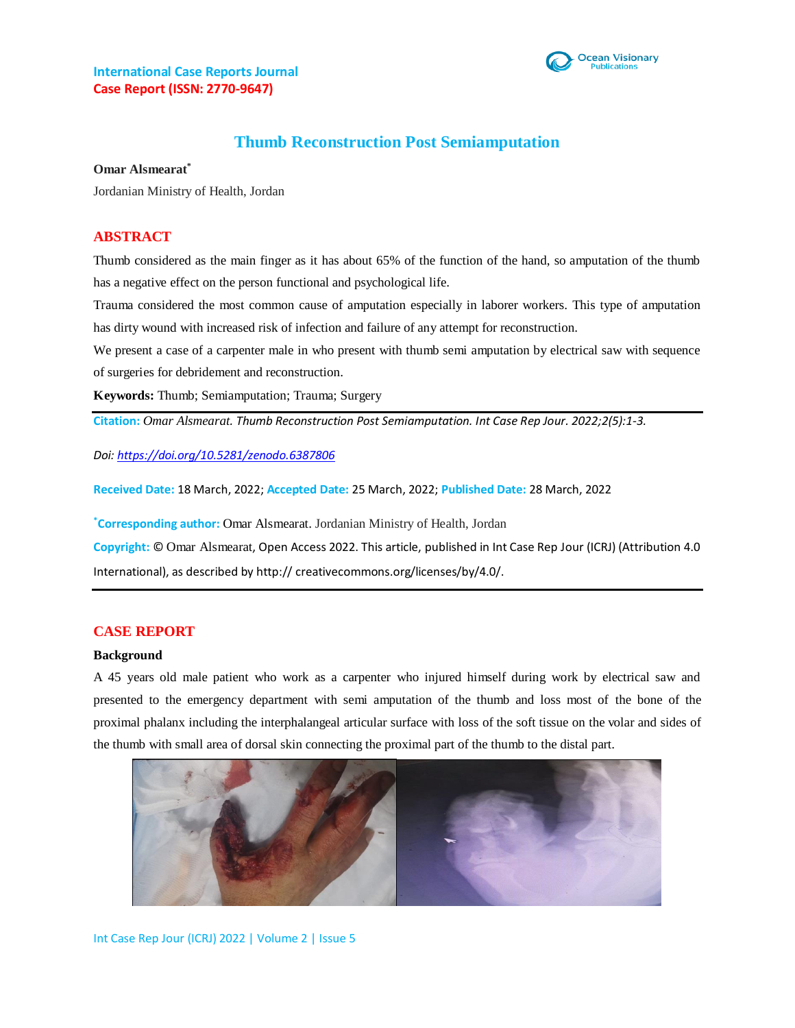

# **Thumb Reconstruction Post Semiamputation**

**Omar Alsmearat\***

Jordanian Ministry of Health, Jordan

#### **ABSTRACT**

Thumb considered as the main finger as it has about 65% of the function of the hand, so amputation of the thumb has a negative effect on the person functional and psychological life.

Trauma considered the most common cause of amputation especially in laborer workers. This type of amputation has dirty wound with increased risk of infection and failure of any attempt for reconstruction.

We present a case of a carpenter male in who present with thumb semi amputation by electrical saw with sequence of surgeries for debridement and reconstruction.

**Keywords:** Thumb; Semiamputation; Trauma; Surgery

**Citation:** *Omar Alsmearat. Thumb Reconstruction Post Semiamputation. Int Case Rep Jour. 2022;2(5):1-3.*

*Doi[: https://doi.org/10.5281/zenodo.6387806](https://doi.org/10.5281/zenodo.6387806)*

**Received Date:** 18 March, 2022; **Accepted Date:** 25 March, 2022; **Published Date:** 28 March, 2022

**\*Corresponding author:** Omar Alsmearat. Jordanian Ministry of Health, Jordan

**Copyright:** © Omar Alsmearat, Open Access 2022. This article, published in Int Case Rep Jour (ICRJ) (Attribution 4.0 International), as described by http:// creativecommons.org/licenses/by/4.0/.

#### **CASE REPORT**

#### **Background**

A 45 years old male patient who work as a carpenter who injured himself during work by electrical saw and presented to the emergency department with semi amputation of the thumb and loss most of the bone of the proximal phalanx including the interphalangeal articular surface with loss of the soft tissue on the volar and sides of the thumb with small area of dorsal skin connecting the proximal part of the thumb to the distal part.

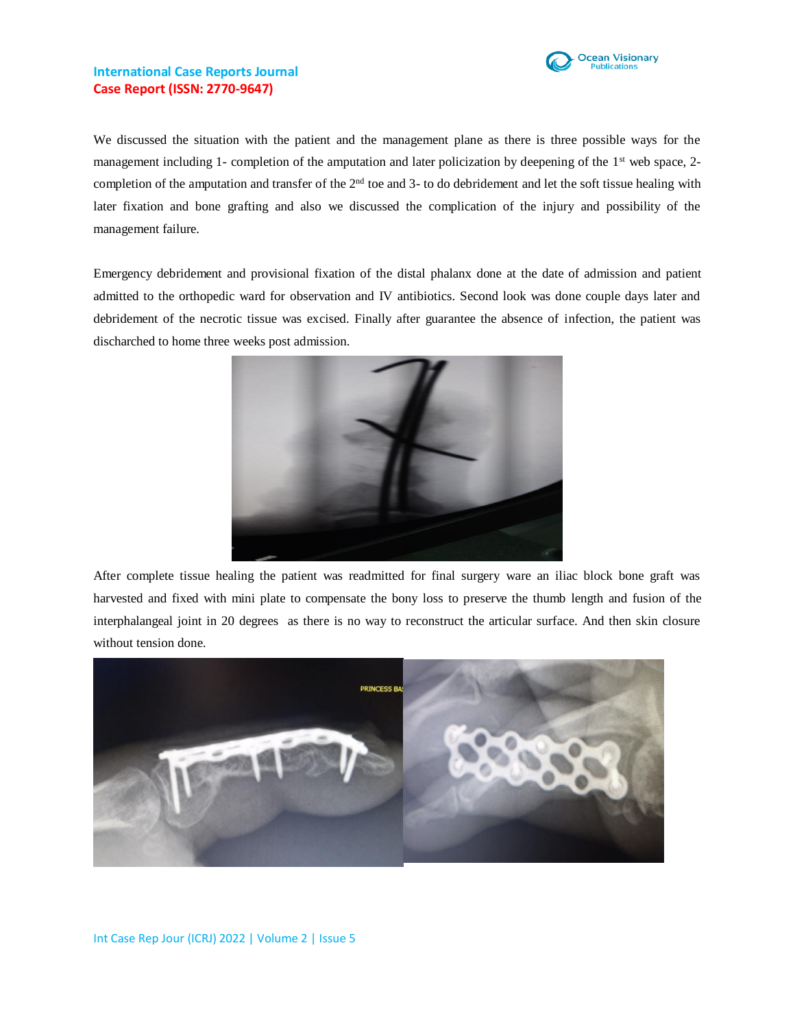

## **International Case Reports Journal Case Report (ISSN: 2770-9647)**

We discussed the situation with the patient and the management plane as there is three possible ways for the management including 1- completion of the amputation and later policization by deepening of the  $1<sup>st</sup>$  web space, 2completion of the amputation and transfer of the  $2<sup>nd</sup>$  toe and 3- to do debridement and let the soft tissue healing with later fixation and bone grafting and also we discussed the complication of the injury and possibility of the management failure.

Emergency debridement and provisional fixation of the distal phalanx done at the date of admission and patient admitted to the orthopedic ward for observation and IV antibiotics. Second look was done couple days later and debridement of the necrotic tissue was excised. Finally after guarantee the absence of infection, the patient was discharched to home three weeks post admission.



After complete tissue healing the patient was readmitted for final surgery ware an iliac block bone graft was harvested and fixed with mini plate to compensate the bony loss to preserve the thumb length and fusion of the interphalangeal joint in 20 degrees as there is no way to reconstruct the articular surface. And then skin closure without tension done.